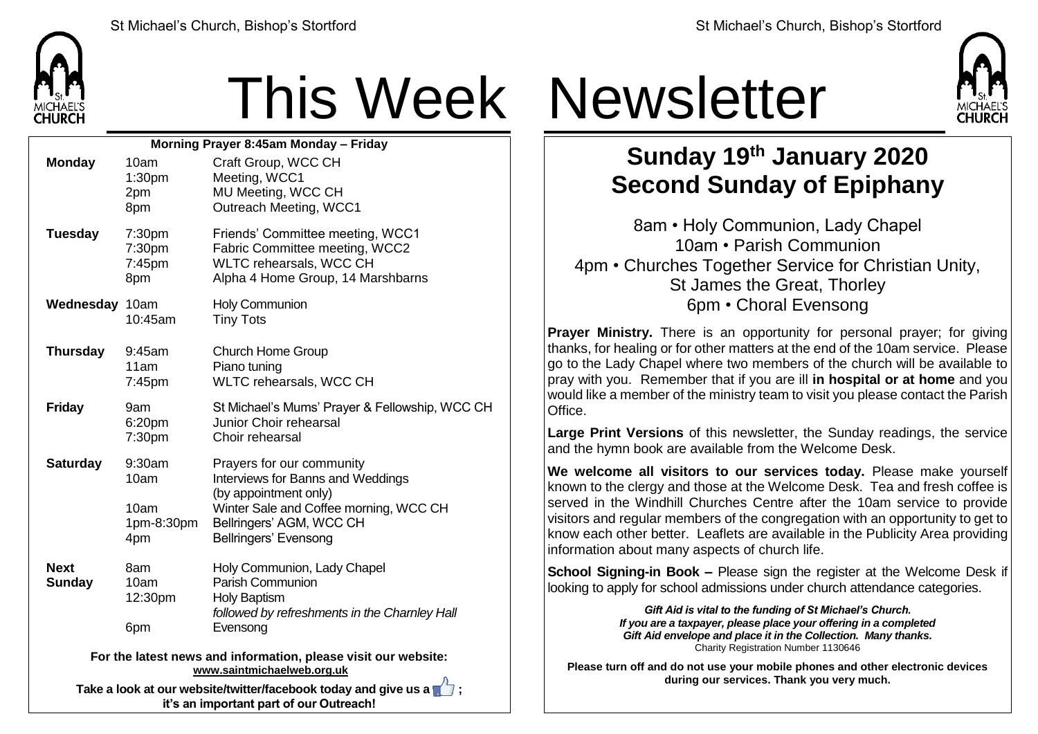

## This Week Newsletter

| Morning Prayer 8:45am Monday - Friday                                                        |                                             |                                                                                                                                                                                               |  |  |  |
|----------------------------------------------------------------------------------------------|---------------------------------------------|-----------------------------------------------------------------------------------------------------------------------------------------------------------------------------------------------|--|--|--|
| <b>Monday</b>                                                                                | 10am<br>1:30 <sub>pm</sub><br>2pm<br>8pm    | Craft Group, WCC CH<br>Meeting, WCC1<br>MU Meeting, WCC CH<br>Outreach Meeting, WCC1                                                                                                          |  |  |  |
| <b>Tuesday</b>                                                                               | 7:30pm<br>7:30pm<br>7:45pm<br>8pm           | Friends' Committee meeting, WCC1<br>Fabric Committee meeting, WCC2<br>WLTC rehearsals, WCC CH<br>Alpha 4 Home Group, 14 Marshbarns                                                            |  |  |  |
| Wednesday 10am                                                                               | 10:45am                                     | <b>Holy Communion</b><br><b>Tiny Tots</b>                                                                                                                                                     |  |  |  |
| <b>Thursday</b>                                                                              | 9:45am<br>11am<br>7:45pm                    | <b>Church Home Group</b><br>Piano tuning<br>WLTC rehearsals, WCC CH                                                                                                                           |  |  |  |
| <b>Friday</b>                                                                                | 9am<br>6:20pm<br>7:30pm                     | St Michael's Mums' Prayer & Fellowship, WCC CH<br>Junior Choir rehearsal<br>Choir rehearsal                                                                                                   |  |  |  |
| <b>Saturday</b>                                                                              | 9:30am<br>10am<br>10am<br>1pm-8:30pm<br>4pm | Prayers for our community<br>Interviews for Banns and Weddings<br>(by appointment only)<br>Winter Sale and Coffee morning, WCC CH<br>Bellringers' AGM, WCC CH<br><b>Bellringers' Evensong</b> |  |  |  |
| <b>Next</b><br><b>Sunday</b>                                                                 | 8am<br>10am<br>12:30pm<br>6pm               | Holy Communion, Lady Chapel<br>Parish Communion<br><b>Holy Baptism</b><br>followed by refreshments in the Charnley Hall<br>Evensong                                                           |  |  |  |
| For the latest news and information, please visit our website:<br>www.saintmichaelweb.org.uk |                                             |                                                                                                                                                                                               |  |  |  |

**Take a look at our website/twitter/facebook today and give us a**  $\mathbb{Z}$ **: it's an important part of our Outreach!**



## **Sunday 19 th January 2020 Second Sunday of Epiphany**

8am • Holy Communion, Lady Chapel 10am • Parish Communion 4pm • Churches Together Service for Christian Unity, St James the Great, Thorley 6pm • Choral Evensong

**Prayer Ministry.** There is an opportunity for personal prayer; for giving thanks, for healing or for other matters at the end of the 10am service. Please go to the Lady Chapel where two members of the church will be available to pray with you. Remember that if you are ill **in hospital or at home** and you would like a member of the ministry team to visit you please contact the Parish **Office** 

**Large Print Versions** of this newsletter, the Sunday readings, the service and the hymn book are available from the Welcome Desk.

**We welcome all visitors to our services today.** Please make yourself known to the clergy and those at the Welcome Desk. Tea and fresh coffee is served in the Windhill Churches Centre after the 10am service to provide visitors and regular members of the congregation with an opportunity to get to know each other better. Leaflets are available in the Publicity Area providing information about many aspects of church life.

**School Signing-in Book –** Please sign the register at the Welcome Desk if looking to apply for school admissions under church attendance categories.

> *Gift Aid is vital to the funding of St Michael's Church. If you are a taxpayer, please place your offering in a completed Gift Aid envelope and place it in the Collection. Many thanks.* Charity Registration Number 1130646

**Please turn off and do not use your mobile phones and other electronic devices during our services. Thank you very much.**